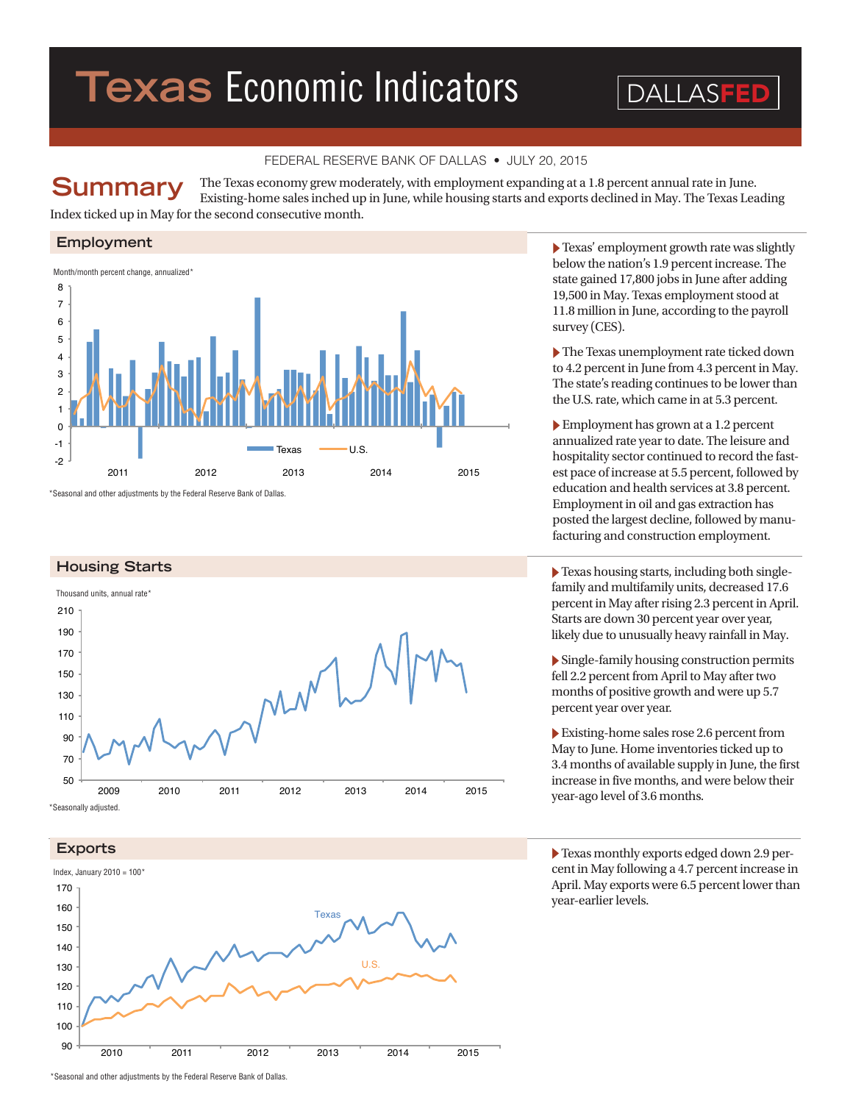# **Texas** Economic Indicators

DALLASFE

# FEDERAL RESERVE BANK OF DALLAS • JULY 20, 2015

The Texas economy grew moderately, with employment expanding at a 1.8 percent annual rate in June. Existing-home sales inched up in June, while housing starts and exports declined in May. The Texas Leading Index ticked up in May for the second consecutive month. **Summary**

### **Employment**



\*Seasonal and other adjustments by the Federal Reserve Bank of Dallas.





� Texas' employment growth rate was slightly below the nation's 1.9 percent increase. The state gained 17,800 jobs in June after adding 19,500 in May. Texas employment stood at 11.8 million in June, according to the payroll survey (CES).

� The Texas unemployment rate ticked down to 4.2 percent in June from 4.3 percent in May. The state's reading continues to be lower than the U.S. rate, which came in at 5.3 percent.

� Employment has grown at a 1.2 percent annualized rate year to date. The leisure and hospitality sector continued to record the fastest pace of increase at 5.5 percent, followed by education and health services at 3.8 percent. Employment in oil and gas extraction has posted the largest decline, followed by manufacturing and construction employment.

 $\blacktriangleright$  Texas housing starts, including both singlefamily and multifamily units, decreased 17.6 percent in May after rising 2.3 percent in April. Starts are down 30 percent year over year, likely due to unusually heavy rainfall in May.

� Single-family housing construction permits fell 2.2 percent from April to May after two months of positive growth and were up 5.7 percent year over year.

� Existing-home sales rose 2.6 percent from May to June. Home inventories ticked up to 3.4 months of available supply in June, the first increase in five months, and were below their year-ago level of 3.6 months.

� Texas monthly exports edged down 2.9 percent in May following a 4.7 percent increase in April. May exports were 6.5 percent lower than year-earlier levels.

<sup>\*</sup>Seasonal and other adjustments by the Federal Reserve Bank of Dallas.